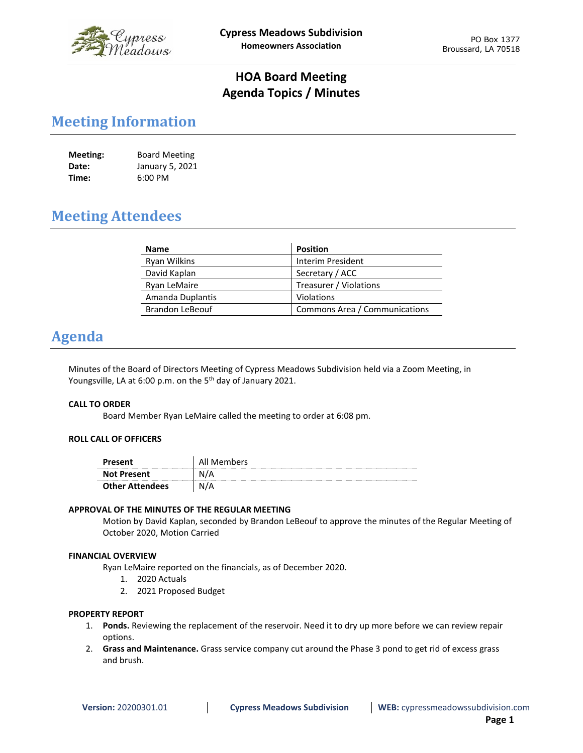

## **HOA Board Meeting Agenda Topics / Minutes**

# **Meeting Information**

| Meeting: | <b>Board Meeting</b> |
|----------|----------------------|
| Date:    | January 5, 2021      |
| Time:    | 6:00 PM              |

# **Meeting Attendees**

| <b>Name</b>            | <b>Position</b>               |
|------------------------|-------------------------------|
| <b>Ryan Wilkins</b>    | <b>Interim President</b>      |
| David Kaplan           | Secretary / ACC               |
| Ryan LeMaire           | Treasurer / Violations        |
| Amanda Duplantis       | Violations                    |
| <b>Brandon LeBeouf</b> | Commons Area / Communications |

# **Agenda**

Minutes of the Board of Directors Meeting of Cypress Meadows Subdivision held via a Zoom Meeting, in Youngsville, LA at 6:00 p.m. on the 5<sup>th</sup> day of January 2021.

## **CALL TO ORDER**

Board Member Ryan LeMaire called the meeting to order at 6:08 pm.

## **ROLL CALL OF OFFICERS**

| Present                | All Members |
|------------------------|-------------|
| <b>Not Present</b>     | N/A         |
| <b>Other Attendees</b> | N/A         |

## **APPROVAL OF THE MINUTES OF THE REGULAR MEETING**

Motion by David Kaplan, seconded by Brandon LeBeouf to approve the minutes of the Regular Meeting of October 2020, Motion Carried

#### **FINANCIAL OVERVIEW**

Ryan LeMaire reported on the financials, as of December 2020.

- 1. 2020 Actuals
- 2. 2021 Proposed Budget

#### **PROPERTY REPORT**

- 1. **Ponds.** Reviewing the replacement of the reservoir. Need it to dry up more before we can review repair options.
- 2. **Grass and Maintenance.** Grass service company cut around the Phase 3 pond to get rid of excess grass and brush.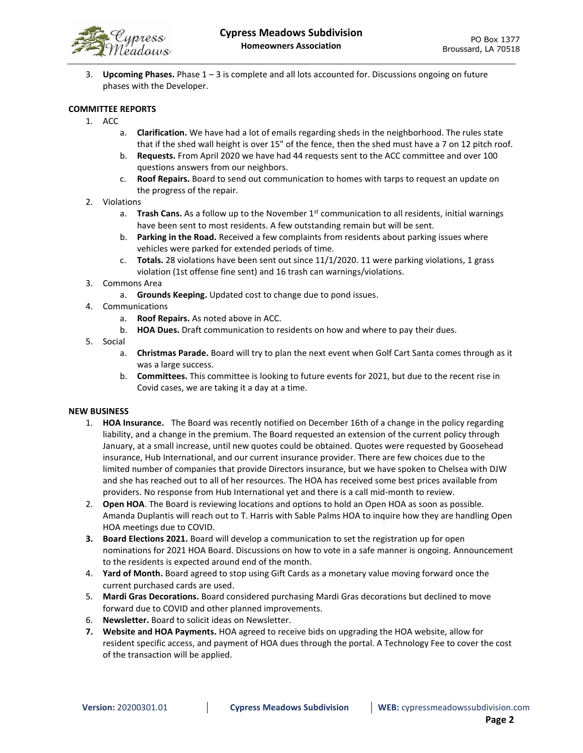

3. **Upcoming Phases.** Phase 1 – 3 is complete and all lots accounted for. Discussions ongoing on future phases with the Developer.

## **COMMITTEE REPORTS**

- 1. ACC
	- a. **Clarification.** We have had a lot of emails regarding sheds in the neighborhood. The rules state that if the shed wall height is over 15" of the fence, then the shed must have a 7 on 12 pitch roof.
	- b. **Requests.** From April 2020 we have had 44 requests sent to the ACC committee and over 100 questions answers from our neighbors.
	- c. **Roof Repairs.** Board to send out communication to homes with tarps to request an update on the progress of the repair.
- 2. Violations
	- a. **Trash Cans.** As a follow up to the November 1<sup>st</sup> communication to all residents, initial warnings have been sent to most residents. A few outstanding remain but will be sent.
	- b. **Parking in the Road.** Received a few complaints from residents about parking issues where vehicles were parked for extended periods of time.
	- c. **Totals.** 28 violations have been sent out since 11/1/2020. 11 were parking violations, 1 grass violation (1st offense fine sent) and 16 trash can warnings/violations.
- 3. Commons Area
	- a. **Grounds Keeping.** Updated cost to change due to pond issues.
- 4. Communications
	- a. **Roof Repairs.** As noted above in ACC.
	- b. **HOA Dues.** Draft communication to residents on how and where to pay their dues.
- 5. Social
	- a. **Christmas Parade.** Board will try to plan the next event when Golf Cart Santa comes through as it was a large success.
	- b. **Committees.** This committee is looking to future events for 2021, but due to the recent rise in Covid cases, we are taking it a day at a time.

#### **NEW BUSINESS**

- 1. **HOA Insurance.** The Board was recently notified on December 16th of a change in the policy regarding liability, and a change in the premium. The Board requested an extension of the current policy through January, at a small increase, until new quotes could be obtained. Quotes were requested by Goosehead insurance, Hub International, and our current insurance provider. There are few choices due to the limited number of companies that provide Directors insurance, but we have spoken to Chelsea with DJW and she has reached out to all of her resources. The HOA has received some best prices available from providers. No response from Hub International yet and there is a call mid-month to review.
- 2. **Open HOA**. The Board is reviewing locations and options to hold an Open HOA as soon as possible. Amanda Duplantis will reach out to T. Harris with Sable Palms HOA to inquire how they are handling Open HOA meetings due to COVID.
- **3. Board Elections 2021.** Board will develop a communication to set the registration up for open nominations for 2021 HOA Board. Discussions on how to vote in a safe manner is ongoing. Announcement to the residents is expected around end of the month.
- 4. **Yard of Month.** Board agreed to stop using Gift Cards as a monetary value moving forward once the current purchased cards are used.
- 5. **Mardi Gras Decorations.** Board considered purchasing Mardi Gras decorations but declined to move forward due to COVID and other planned improvements.
- 6. **Newsletter.** Board to solicit ideas on Newsletter.
- **7. Website and HOA Payments.** HOA agreed to receive bids on upgrading the HOA website, allow for resident specific access, and payment of HOA dues through the portal. A Technology Fee to cover the cost of the transaction will be applied.